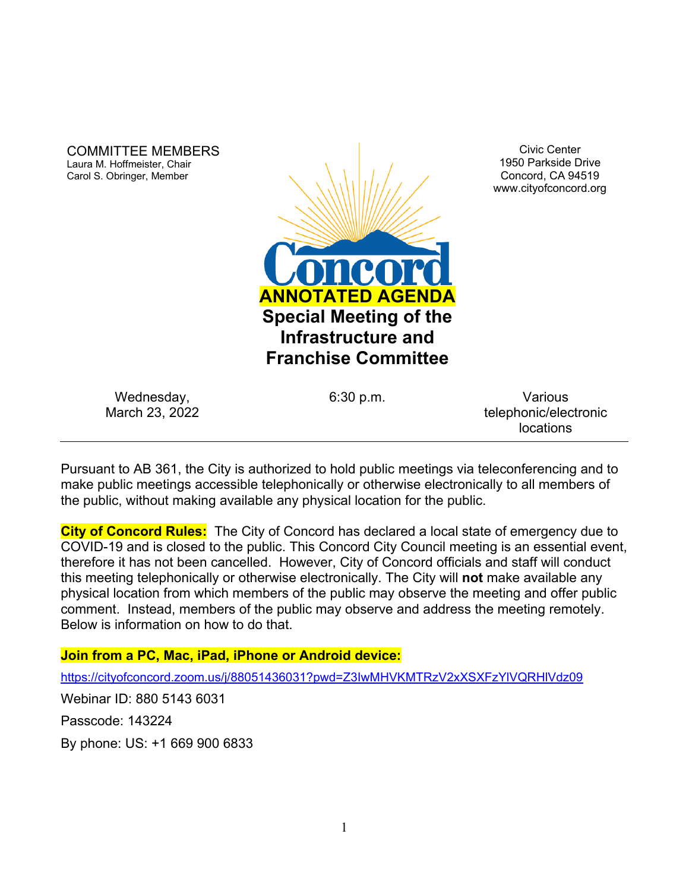COMMITTEE MEMBERS Laura M. Hoffmeister, Chair Carol S. Obringer, Member



Civic Center 1950 Parkside Drive Concord, CA 94519 www.cityofconcord.org

Wednesday, March 23, 2022

6:30 p.m. Various telephonic/electronic locations

Pursuant to AB 361, the City is authorized to hold public meetings via teleconferencing and to make public meetings accessible telephonically or otherwise electronically to all members of the public, without making available any physical location for the public.

**City of Concord Rules:** The City of Concord has declared a local state of emergency due to COVID-19 and is closed to the public. This Concord City Council meeting is an essential event, therefore it has not been cancelled. However, City of Concord officials and staff will conduct this meeting telephonically or otherwise electronically. The City will **not** make available any physical location from which members of the public may observe the meeting and offer public comment. Instead, members of the public may observe and address the meeting remotely. Below is information on how to do that.

### **Join from a PC, Mac, iPad, iPhone or Android device:**

<https://cityofconcord.zoom.us/j/88051436031?pwd=Z3IwMHVKMTRzV2xXSXFzYlVQRHlVdz09>

Webinar ID: 880 5143 6031

Passcode: 143224

By phone: US: +1 669 900 6833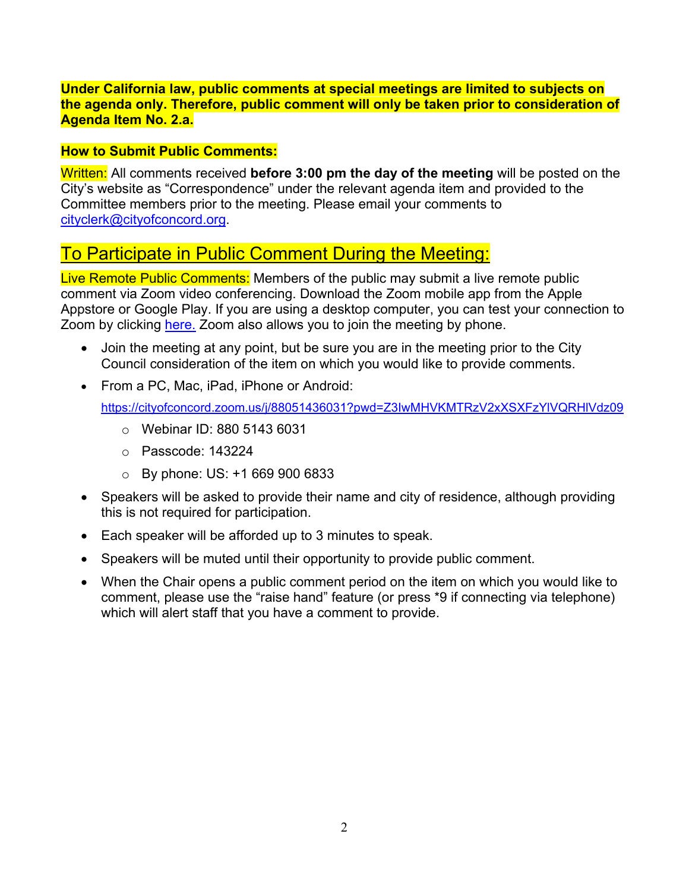### **Under California law, public comments at special meetings are limited to subjects on the agenda only. Therefore, public comment will only be taken prior to consideration of Agenda Item No. 2.a.**

### **How to Submit Public Comments:**

Written: All comments received **before 3:00 pm the day of the meeting** will be posted on the City's website as "Correspondence" under the relevant agenda item and provided to the Committee members prior to the meeting. Please email your comments to [cityclerk@cityofconcord.org.](mailto:cityclerk@cityofconcord.org)

# To Participate in Public Comment During the Meeting:

Live Remote Public Comments: Members of the public may submit a live remote public comment via Zoom video conferencing. Download the Zoom mobile app from the Apple Appstore or Google Play. If you are using a desktop computer, you can test your connection to Zoom by clicking [here.](https://www.zoom.us/join) Zoom also allows you to join the meeting by phone.

- Join the meeting at any point, but be sure you are in the meeting prior to the City Council consideration of the item on which you would like to provide comments.
- From a PC, Mac, iPad, iPhone or Android:

<https://cityofconcord.zoom.us/j/88051436031?pwd=Z3IwMHVKMTRzV2xXSXFzYlVQRHlVdz09>

- o Webinar ID: 880 5143 6031
- o Passcode: 143224
- $\circ$  By phone: US: +1 669 900 6833
- Speakers will be asked to provide their name and city of residence, although providing this is not required for participation.
- Each speaker will be afforded up to 3 minutes to speak.
- Speakers will be muted until their opportunity to provide public comment.
- When the Chair opens a public comment period on the item on which you would like to comment, please use the "raise hand" feature (or press \*9 if connecting via telephone) which will alert staff that you have a comment to provide.